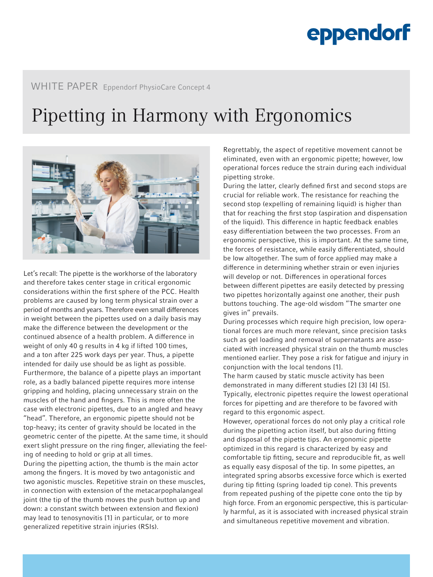# eppendorf

#### WHITE PAPER Eppendorf PhysioCare Concept 4

### Pipetting in Harmony with Ergonomics



Let's recall: The pipette is the workhorse of the laboratory and therefore takes center stage in critical ergonomic considerations within the first sphere of the PCC. Health problems are caused by long term physical strain over a period of months and years. Therefore even small differences in weight between the pipettes used on a daily basis may make the difference between the development or the continued absence of a health problem. A difference in weight of only 40 g results in 4 kg if lifted 100 times, and a ton after 225 work days per year. Thus, a pipette intended for daily use should be as light as possible. Furthermore, the balance of a pipette plays an important role, as a badly balanced pipette requires more intense gripping and holding, placing unnecessary strain on the muscles of the hand and fingers. This is more often the case with electronic pipettes, due to an angled and heavy "head". Therefore, an ergonomic pipette should not be top-heavy; its center of gravity should be located in the geometric center of the pipette. At the same time, it should exert slight pressure on the ring finger, alleviating the feeling of needing to hold or grip at all times.

During the pipetting action, the thumb is the main actor among the fingers. It is moved by two antagonistic and two agonistic muscles. Repetitive strain on these muscles, in connection with extension of the metacarpophalangeal joint (the tip of the thumb moves the push button up and down: a constant switch between extension and flexion) may lead to tenosynovitis [1] in particular, or to more generalized repetitive strain injuries (RSIs).

Regrettably, the aspect of repetitive movement cannot be eliminated, even with an ergonomic pipette; however, low operational forces reduce the strain during each individual pipetting stroke.

During the latter, clearly defined first and second stops are crucial for reliable work. The resistance for reaching the second stop (expelling of remaining liquid) is higher than that for reaching the first stop (aspiration and dispensation of the liquid). This difference in haptic feedback enables easy differentiation between the two processes. From an ergonomic perspective, this is important. At the same time, the forces of resistance, while easily differentiated, should be low altogether. The sum of force applied may make a difference in determining whether strain or even injuries will develop or not. Differences in operational forces between different pipettes are easily detected by pressing two pipettes horizontally against one another, their push buttons touching. The age-old wisdom "The smarter one gives in" prevails.

During processes which require high precision, low operational forces are much more relevant, since precision tasks such as gel loading and removal of supernatants are associated with increased physical strain on the thumb muscles mentioned earlier. They pose a risk for fatigue and injury in conjunction with the local tendons [1].

The harm caused by static muscle activity has been demonstrated in many different studies [2] [3] [4] [5]. Typically, electronic pipettes require the lowest operational forces for pipetting and are therefore to be favored with regard to this ergonomic aspect.

However, operational forces do not only play a critical role during the pipetting action itself, but also during fitting and disposal of the pipette tips. An ergonomic pipette optimized in this regard is characterized by easy and comfortable tip fitting, secure and reproducible fit, as well as equally easy disposal of the tip. In some pipettes, an integrated spring absorbs excessive force which is exerted during tip fitting (spring loaded tip cone). This prevents from repeated pushing of the pipette cone onto the tip by high force. From an ergonomic perspective, this is particularly harmful, as it is associated with increased physical strain and simultaneous repetitive movement and vibration.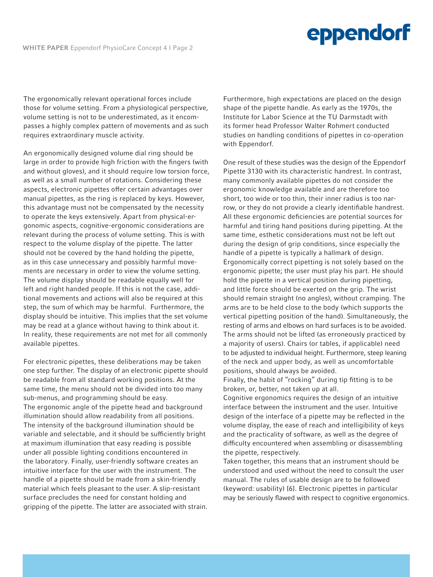## eppendorf

The ergonomically relevant operational forces include those for volume setting. From a physiological perspective, volume setting is not to be underestimated, as it encompasses a highly complex pattern of movements and as such requires extraordinary muscle activity.

An ergonomically designed volume dial ring should be large in order to provide high friction with the fingers (with and without gloves), and it should require low torsion force, as well as a small number of rotations. Considering these aspects, electronic pipettes offer certain advantages over manual pipettes, as the ring is replaced by keys. However, this advantage must not be compensated by the necessity to operate the keys extensively. Apart from physical-ergonomic aspects, cognitive-ergonomic considerations are relevant during the process of volume setting. This is with respect to the volume display of the pipette. The latter should not be covered by the hand holding the pipette, as in this case unnecessary and possibly harmful movements are necessary in order to view the volume setting. The volume display should be readable equally well for left and right handed people. If this is not the case, additional movements and actions will also be required at this step, the sum of which may be harmful. Furthermore, the display should be intuitive. This implies that the set volume may be read at a glance without having to think about it. In reality, these requirements are not met for all commonly available pipettes.

For electronic pipettes, these deliberations may be taken one step further. The display of an electronic pipette should be readable from all standard working positions. At the same time, the menu should not be divided into too many sub-menus, and programming should be easy. The ergonomic angle of the pipette head and background illumination should allow readability from all positions. The intensity of the background illumination should be variable and selectable, and it should be sufficiently bright at maximum illumination that easy reading is possible under all possible lighting conditions encountered in the laboratory. Finally, user-friendly software creates an intuitive interface for the user with the instrument. The handle of a pipette should be made from a skin-friendly material which feels pleasant to the user. A slip-resistant surface precludes the need for constant holding and gripping of the pipette. The latter are associated with strain.

Furthermore, high expectations are placed on the design shape of the pipette handle. As early as the 1970s, the Institute for Labor Science at the TU Darmstadt with its former head Professor Walter Rohmert conducted studies on handling conditions of pipettes in co-operation with Eppendorf.

One result of these studies was the design of the Eppendorf Pipette 3130 with its characteristic handrest. In contrast, many commonly available pipettes do not consider the ergonomic knowledge available and are therefore too short, too wide or too thin, their inner radius is too narrow, or they do not provide a clearly identifiable handrest. All these ergonomic deficiencies are potential sources for harmful and tiring hand positions during pipetting. At the same time, esthetic considerations must not be left out during the design of grip conditions, since especially the handle of a pipette is typically a hallmark of design. Ergonomically correct pipetting is not solely based on the ergonomic pipette; the user must play his part. He should hold the pipette in a vertical position during pipetting, and little force should be exerted on the grip. The wrist should remain straight (no angles), without cramping. The arms are to be held close to the body (which supports the vertical pipetting position of the hand). Simultaneously, the resting of arms and elbows on hard surfaces is to be avoided. The arms should not be lifted (as erroneously practiced by a majority of users). Chairs (or tables, if applicable) need to be adjusted to individual height. Furthermore, steep leaning of the neck and upper body, as well as uncomfortable positions, should always be avoided.

Finally, the habit of "rocking" during tip fitting is to be broken, or, better, not taken up at all.

Cognitive ergonomics requires the design of an intuitive interface between the instrument and the user. Intuitive design of the interface of a pipette may be reflected in the volume display, the ease of reach and intelligibility of keys and the practicality of software, as well as the degree of difficulty encountered when assembling or disassembling the pipette, respectively.

Taken together, this means that an instrument should be understood and used without the need to consult the user manual. The rules of usable design are to be followed (keyword: usability) [6]. Electronic pipettes in particular may be seriously flawed with respect to cognitive ergonomics.